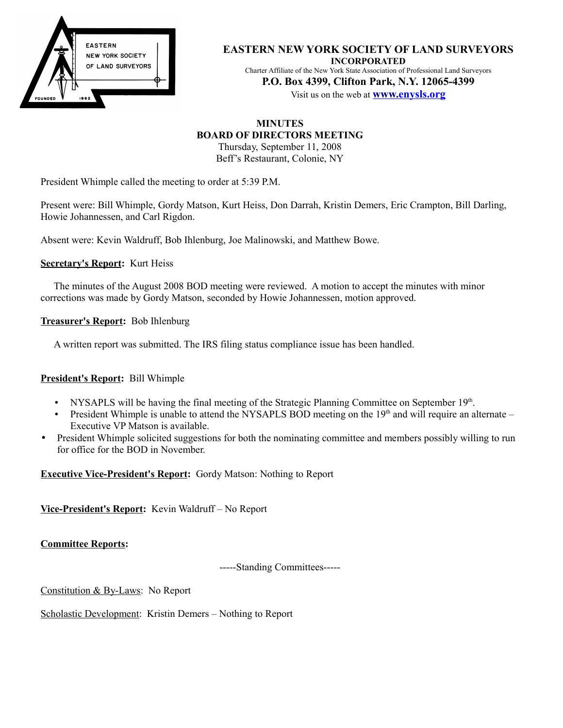

#### **EASTERN NEW YORK SOCIETY OF LAND SURVEYORS INCORPORATED**

Charter Affiliate of the New York State Association of Professional Land Surveyors **P.O. Box 4399, Clifton Park, N.Y. 12065-4399**

Visit us on the web at **[www. e](http://www.enysls.org/)nysls.org**

# **MINUTES BOARD OF DIRECTORS MEETING**

Thursday, September 11, 2008 Beff's Restaurant, Colonie, NY

President Whimple called the meeting to order at 5:39 P.M.

Present were: Bill Whimple, Gordy Matson, Kurt Heiss, Don Darrah, Kristin Demers, Eric Crampton, Bill Darling, Howie Johannessen, and Carl Rigdon.

Absent were: Kevin Waldruff, Bob Ihlenburg, Joe Malinowski, and Matthew Bowe.

## **Secretary's Report:** Kurt Heiss

The minutes of the August 2008 BOD meeting were reviewed. A motion to accept the minutes with minor corrections was made by Gordy Matson, seconded by Howie Johannessen, motion approved.

**Treasurer's Report:** Bob Ihlenburg

A written report was submitted. The IRS filing status compliance issue has been handled.

#### **President's Report:** Bill Whimple

- NYSAPLS will be having the final meeting of the Strategic Planning Committee on September 19<sup>th</sup>.
- President Whimple is unable to attend the NYSAPLS BOD meeting on the  $19<sup>th</sup>$  and will require an alternate Executive VP Matson is available.
- President Whimple solicited suggestions for both the nominating committee and members possibly willing to run for office for the BOD in November.

**Executive Vice-President's Report:** Gordy Matson: Nothing to Report

**Vice-President's Report:** Kevin Waldruff – No Report

**Committee Reports:**

-----Standing Committees-----

Constitution & By-Laws: No Report

Scholastic Development: Kristin Demers – Nothing to Report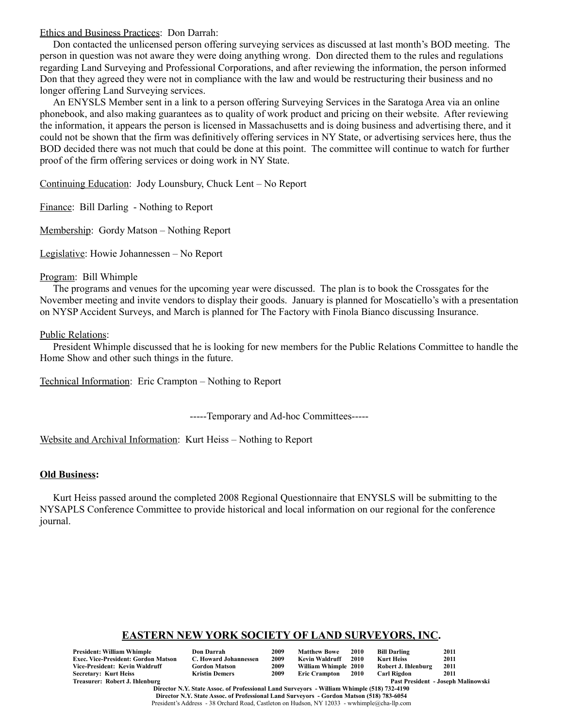Ethics and Business Practices: Don Darrah:

Don contacted the unlicensed person offering surveying services as discussed at last month's BOD meeting. The person in question was not aware they were doing anything wrong. Don directed them to the rules and regulations regarding Land Surveying and Professional Corporations, and after reviewing the information, the person informed Don that they agreed they were not in compliance with the law and would be restructuring their business and no longer offering Land Surveying services.

An ENYSLS Member sent in a link to a person offering Surveying Services in the Saratoga Area via an online phonebook, and also making guarantees as to quality of work product and pricing on their website. After reviewing the information, it appears the person is licensed in Massachusetts and is doing business and advertising there, and it could not be shown that the firm was definitively offering services in NY State, or advertising services here, thus the BOD decided there was not much that could be done at this point. The committee will continue to watch for further proof of the firm offering services or doing work in NY State.

Continuing Education: Jody Lounsbury, Chuck Lent – No Report

Finance: Bill Darling - Nothing to Report

Membership: Gordy Matson – Nothing Report

Legislative: Howie Johannessen – No Report

#### Program: Bill Whimple

The programs and venues for the upcoming year were discussed. The plan is to book the Crossgates for the November meeting and invite vendors to display their goods. January is planned for Moscatiello's with a presentation on NYSP Accident Surveys, and March is planned for The Factory with Finola Bianco discussing Insurance.

#### Public Relations:

President Whimple discussed that he is looking for new members for the Public Relations Committee to handle the Home Show and other such things in the future.

Technical Information: Eric Crampton – Nothing to Report

-----Temporary and Ad-hoc Committees-----

Website and Archival Information: Kurt Heiss – Nothing to Report

#### **Old Business:**

Kurt Heiss passed around the completed 2008 Regional Questionnaire that ENYSLS will be submitting to the NYSAPLS Conference Committee to provide historical and local information on our regional for the conference journal.

## **EASTERN NEW YORK SOCIETY OF LAND SURVEYORS, INC.**

| President: William Whimple          | <b>Don Darrah</b>     | 2009 | <b>Matthew Bowe</b>  | 2010        | Bill Darling        | 2011                               |
|-------------------------------------|-----------------------|------|----------------------|-------------|---------------------|------------------------------------|
| Exec. Vice-President: Gordon Matson | C. Howard Johannessen | 2009 | Kevin Waldruff       | 2010        | Kurt Heiss          | 2011                               |
| Vice-President: Kevin Waldruff      | <b>Gordon Matson</b>  | 2009 | William Whimple 2010 |             | Robert J. Ihlenburg | 2011                               |
| Secretary: Kurt Heiss               | <b>Kristin Demers</b> | 2009 | <b>Eric Crampton</b> | <b>2010</b> | <b>Carl Rigdon</b>  | 2011                               |
| Treasurer: Robert J. Ihlenburg      |                       |      |                      |             |                     | Past President - Joseph Malinowski |

**Director N.Y. State Assoc. of Professional Land Surveyors - William Whimple (518) 732-4190 Director N.Y. State Assoc. of Professional Land Surveyors - Gordon Matson (518) 783-6054** President's Address - 38 Orchard Road, Castleton on Hudson, NY 12033 - wwhimple@cha-llp.com